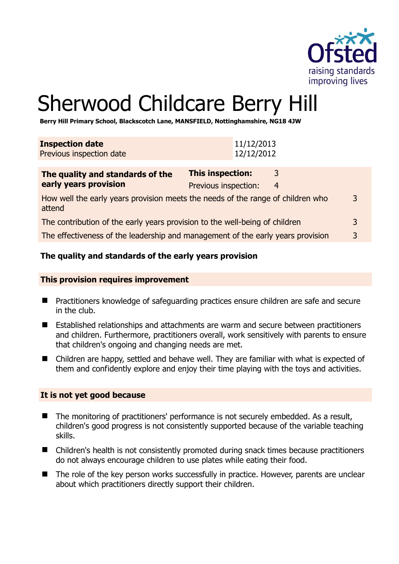

# Sherwood Childcare Berry Hill

**Berry Hill Primary School, Blackscotch Lane, MANSFIELD, Nottinghamshire, NG18 4JW** 

| <b>Inspection date</b><br>Previous inspection date                                             | 11/12/2013<br>12/12/2012                                  |  |
|------------------------------------------------------------------------------------------------|-----------------------------------------------------------|--|
| The quality and standards of the<br>early years provision                                      | <b>This inspection:</b><br>3<br>Previous inspection:<br>4 |  |
| How well the early years provision meets the needs of the range of children who<br>3<br>attend |                                                           |  |
| The contribution of the early years provision to the well-being of children                    |                                                           |  |
| 3<br>The effectiveness of the leadership and management of the early years provision           |                                                           |  |

## **The quality and standards of the early years provision**

#### **This provision requires improvement**

- Practitioners knowledge of safeguarding practices ensure children are safe and secure in the club.
- Established relationships and attachments are warm and secure between practitioners and children. Furthermore, practitioners overall, work sensitively with parents to ensure that children's ongoing and changing needs are met.
- Children are happy, settled and behave well. They are familiar with what is expected of them and confidently explore and enjoy their time playing with the toys and activities.

## **It is not yet good because**

- The monitoring of practitioners' performance is not securely embedded. As a result, children's good progress is not consistently supported because of the variable teaching skills.
- Children's health is not consistently promoted during snack times because practitioners do not always encourage children to use plates while eating their food.
- The role of the key person works successfully in practice. However, parents are unclear about which practitioners directly support their children.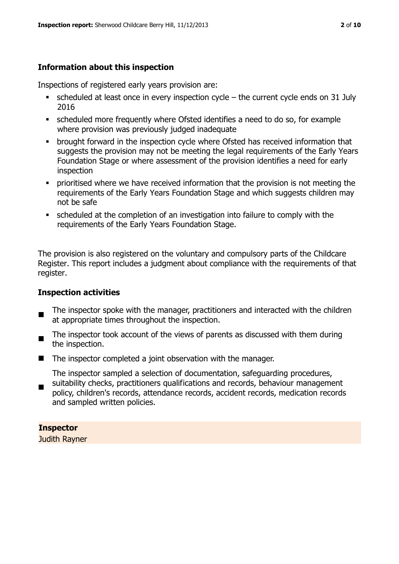## **Information about this inspection**

Inspections of registered early years provision are:

- $\blacksquare$  scheduled at least once in every inspection cycle the current cycle ends on 31 July 2016
- scheduled more frequently where Ofsted identifies a need to do so, for example where provision was previously judged inadequate
- **•** brought forward in the inspection cycle where Ofsted has received information that suggests the provision may not be meeting the legal requirements of the Early Years Foundation Stage or where assessment of the provision identifies a need for early inspection
- **•** prioritised where we have received information that the provision is not meeting the requirements of the Early Years Foundation Stage and which suggests children may not be safe
- scheduled at the completion of an investigation into failure to comply with the requirements of the Early Years Foundation Stage.

The provision is also registered on the voluntary and compulsory parts of the Childcare Register. This report includes a judgment about compliance with the requirements of that register.

## **Inspection activities**

- п The inspector spoke with the manager, practitioners and interacted with the children at appropriate times throughout the inspection.
- The inspector took account of the views of parents as discussed with them during the inspection.
- $\blacksquare$  The inspector completed a joint observation with the manager.

The inspector sampled a selection of documentation, safeguarding procedures, suitability checks, practitioners qualifications and records, behaviour management

 policy, children's records, attendance records, accident records, medication records and sampled written policies.

## **Inspector**

Judith Rayner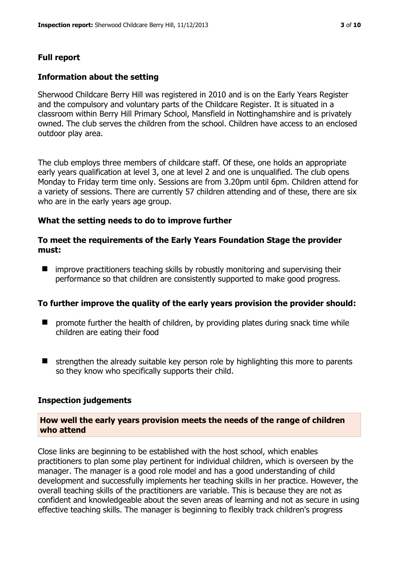## **Full report**

#### **Information about the setting**

Sherwood Childcare Berry Hill was registered in 2010 and is on the Early Years Register and the compulsory and voluntary parts of the Childcare Register. It is situated in a classroom within Berry Hill Primary School, Mansfield in Nottinghamshire and is privately owned. The club serves the children from the school. Children have access to an enclosed outdoor play area.

The club employs three members of childcare staff. Of these, one holds an appropriate early years qualification at level 3, one at level 2 and one is unqualified. The club opens Monday to Friday term time only. Sessions are from 3.20pm until 6pm. Children attend for a variety of sessions. There are currently 57 children attending and of these, there are six who are in the early years age group.

#### **What the setting needs to do to improve further**

#### **To meet the requirements of the Early Years Foundation Stage the provider must:**

**I** improve practitioners teaching skills by robustly monitoring and supervising their performance so that children are consistently supported to make good progress.

#### **To further improve the quality of the early years provision the provider should:**

- $\blacksquare$  promote further the health of children, by providing plates during snack time while children are eating their food
- $\blacksquare$  strengthen the already suitable key person role by highlighting this more to parents so they know who specifically supports their child.

#### **Inspection judgements**

## **How well the early years provision meets the needs of the range of children who attend**

Close links are beginning to be established with the host school, which enables practitioners to plan some play pertinent for individual children, which is overseen by the manager. The manager is a good role model and has a good understanding of child development and successfully implements her teaching skills in her practice. However, the overall teaching skills of the practitioners are variable. This is because they are not as confident and knowledgeable about the seven areas of learning and not as secure in using effective teaching skills. The manager is beginning to flexibly track children's progress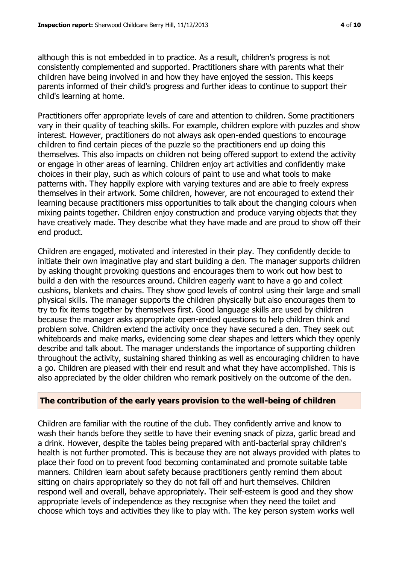although this is not embedded in to practice. As a result, children's progress is not consistently complemented and supported. Practitioners share with parents what their children have being involved in and how they have enjoyed the session. This keeps parents informed of their child's progress and further ideas to continue to support their child's learning at home.

Practitioners offer appropriate levels of care and attention to children. Some practitioners vary in their quality of teaching skills. For example, children explore with puzzles and show interest. However, practitioners do not always ask open-ended questions to encourage children to find certain pieces of the puzzle so the practitioners end up doing this themselves. This also impacts on children not being offered support to extend the activity or engage in other areas of learning. Children enjoy art activities and confidently make choices in their play, such as which colours of paint to use and what tools to make patterns with. They happily explore with varying textures and are able to freely express themselves in their artwork. Some children, however, are not encouraged to extend their learning because practitioners miss opportunities to talk about the changing colours when mixing paints together. Children enjoy construction and produce varying objects that they have creatively made. They describe what they have made and are proud to show off their end product.

Children are engaged, motivated and interested in their play. They confidently decide to initiate their own imaginative play and start building a den. The manager supports children by asking thought provoking questions and encourages them to work out how best to build a den with the resources around. Children eagerly want to have a go and collect cushions, blankets and chairs. They show good levels of control using their large and small physical skills. The manager supports the children physically but also encourages them to try to fix items together by themselves first. Good language skills are used by children because the manager asks appropriate open-ended questions to help children think and problem solve. Children extend the activity once they have secured a den. They seek out whiteboards and make marks, evidencing some clear shapes and letters which they openly describe and talk about. The manager understands the importance of supporting children throughout the activity, sustaining shared thinking as well as encouraging children to have a go. Children are pleased with their end result and what they have accomplished. This is also appreciated by the older children who remark positively on the outcome of the den.

## **The contribution of the early years provision to the well-being of children**

Children are familiar with the routine of the club. They confidently arrive and know to wash their hands before they settle to have their evening snack of pizza, garlic bread and a drink. However, despite the tables being prepared with anti-bacterial spray children's health is not further promoted. This is because they are not always provided with plates to place their food on to prevent food becoming contaminated and promote suitable table manners. Children learn about safety because practitioners gently remind them about sitting on chairs appropriately so they do not fall off and hurt themselves. Children respond well and overall, behave appropriately. Their self-esteem is good and they show appropriate levels of independence as they recognise when they need the toilet and choose which toys and activities they like to play with. The key person system works well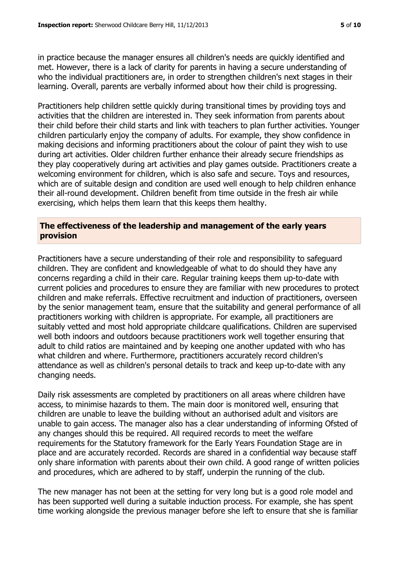in practice because the manager ensures all children's needs are quickly identified and met. However, there is a lack of clarity for parents in having a secure understanding of who the individual practitioners are, in order to strengthen children's next stages in their learning. Overall, parents are verbally informed about how their child is progressing.

Practitioners help children settle quickly during transitional times by providing toys and activities that the children are interested in. They seek information from parents about their child before their child starts and link with teachers to plan further activities. Younger children particularly enjoy the company of adults. For example, they show confidence in making decisions and informing practitioners about the colour of paint they wish to use during art activities. Older children further enhance their already secure friendships as they play cooperatively during art activities and play games outside. Practitioners create a welcoming environment for children, which is also safe and secure. Toys and resources, which are of suitable design and condition are used well enough to help children enhance their all-round development. Children benefit from time outside in the fresh air while exercising, which helps them learn that this keeps them healthy.

## **The effectiveness of the leadership and management of the early years provision**

Practitioners have a secure understanding of their role and responsibility to safeguard children. They are confident and knowledgeable of what to do should they have any concerns regarding a child in their care. Regular training keeps them up-to-date with current policies and procedures to ensure they are familiar with new procedures to protect children and make referrals. Effective recruitment and induction of practitioners, overseen by the senior management team, ensure that the suitability and general performance of all practitioners working with children is appropriate. For example, all practitioners are suitably vetted and most hold appropriate childcare qualifications. Children are supervised well both indoors and outdoors because practitioners work well together ensuring that adult to child ratios are maintained and by keeping one another updated with who has what children and where. Furthermore, practitioners accurately record children's attendance as well as children's personal details to track and keep up-to-date with any changing needs.

Daily risk assessments are completed by practitioners on all areas where children have access, to minimise hazards to them. The main door is monitored well, ensuring that children are unable to leave the building without an authorised adult and visitors are unable to gain access. The manager also has a clear understanding of informing Ofsted of any changes should this be required. All required records to meet the welfare requirements for the Statutory framework for the Early Years Foundation Stage are in place and are accurately recorded. Records are shared in a confidential way because staff only share information with parents about their own child. A good range of written policies and procedures, which are adhered to by staff, underpin the running of the club.

The new manager has not been at the setting for very long but is a good role model and has been supported well during a suitable induction process. For example, she has spent time working alongside the previous manager before she left to ensure that she is familiar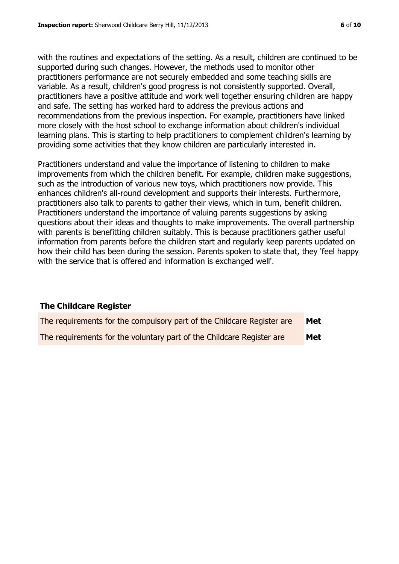with the routines and expectations of the setting. As a result, children are continued to be supported during such changes. However, the methods used to monitor other practitioners performance are not securely embedded and some teaching skills are variable. As a result, children's good progress is not consistently supported. Overall, practitioners have a positive attitude and work well together ensuring children are happy and safe. The setting has worked hard to address the previous actions and recommendations from the previous inspection. For example, practitioners have linked more closely with the host school to exchange information about children's individual learning plans. This is starting to help practitioners to complement children's learning by providing some activities that they know children are particularly interested in.

Practitioners understand and value the importance of listening to children to make improvements from which the children benefit. For example, children make suggestions, such as the introduction of various new toys, which practitioners now provide. This enhances children's all-round development and supports their interests. Furthermore, practitioners also talk to parents to gather their views, which in turn, benefit children. Practitioners understand the importance of valuing parents suggestions by asking questions about their ideas and thoughts to make improvements. The overall partnership with parents is benefitting children suitably. This is because practitioners gather useful information from parents before the children start and regularly keep parents updated on how their child has been during the session. Parents spoken to state that, they 'feel happy with the service that is offered and information is exchanged well'.

## **The Childcare Register**

| The requirements for the compulsory part of the Childcare Register are | Met |
|------------------------------------------------------------------------|-----|
| The requirements for the voluntary part of the Childcare Register are  | Met |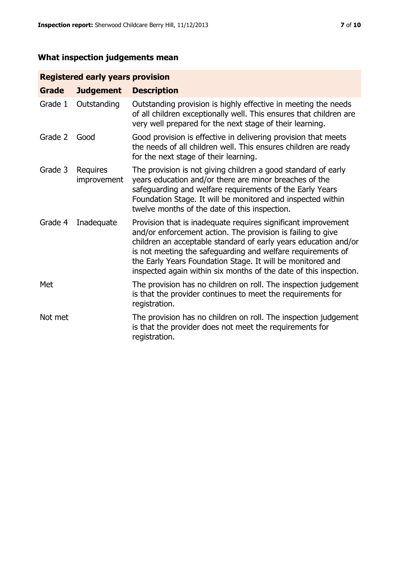## **What inspection judgements mean**

## **Registered early years provision**

| <b>Grade</b> | <b>Judgement</b>        | <b>Description</b>                                                                                                                                                                                                                                                                                                                                                                                |
|--------------|-------------------------|---------------------------------------------------------------------------------------------------------------------------------------------------------------------------------------------------------------------------------------------------------------------------------------------------------------------------------------------------------------------------------------------------|
| Grade 1      | Outstanding             | Outstanding provision is highly effective in meeting the needs<br>of all children exceptionally well. This ensures that children are<br>very well prepared for the next stage of their learning.                                                                                                                                                                                                  |
| Grade 2      | Good                    | Good provision is effective in delivering provision that meets<br>the needs of all children well. This ensures children are ready<br>for the next stage of their learning.                                                                                                                                                                                                                        |
| Grade 3      | Requires<br>improvement | The provision is not giving children a good standard of early<br>years education and/or there are minor breaches of the<br>safeguarding and welfare requirements of the Early Years<br>Foundation Stage. It will be monitored and inspected within<br>twelve months of the date of this inspection.                                                                                               |
| Grade 4      | Inadequate              | Provision that is inadequate requires significant improvement<br>and/or enforcement action. The provision is failing to give<br>children an acceptable standard of early years education and/or<br>is not meeting the safeguarding and welfare requirements of<br>the Early Years Foundation Stage. It will be monitored and<br>inspected again within six months of the date of this inspection. |
| Met          |                         | The provision has no children on roll. The inspection judgement<br>is that the provider continues to meet the requirements for<br>registration.                                                                                                                                                                                                                                                   |
| Not met      |                         | The provision has no children on roll. The inspection judgement<br>is that the provider does not meet the requirements for<br>registration.                                                                                                                                                                                                                                                       |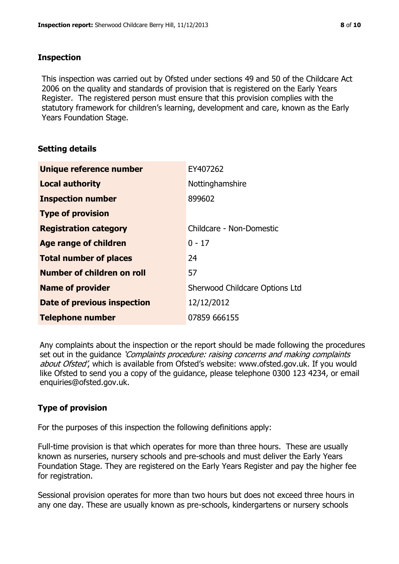### **Inspection**

This inspection was carried out by Ofsted under sections 49 and 50 of the Childcare Act 2006 on the quality and standards of provision that is registered on the Early Years Register. The registered person must ensure that this provision complies with the statutory framework for children's learning, development and care, known as the Early Years Foundation Stage.

## **Setting details**

| Unique reference number            | EY407262                       |
|------------------------------------|--------------------------------|
| <b>Local authority</b>             | Nottinghamshire                |
| <b>Inspection number</b>           | 899602                         |
| <b>Type of provision</b>           |                                |
| <b>Registration category</b>       | Childcare - Non-Domestic       |
| Age range of children              | $0 - 17$                       |
| <b>Total number of places</b>      | 24                             |
| Number of children on roll         | 57                             |
| <b>Name of provider</b>            | Sherwood Childcare Options Ltd |
| <b>Date of previous inspection</b> | 12/12/2012                     |
| <b>Telephone number</b>            | 07859 666155                   |

Any complaints about the inspection or the report should be made following the procedures set out in the guidance *'Complaints procedure: raising concerns and making complaints* about Ofsted', which is available from Ofsted's website: www.ofsted.gov.uk. If you would like Ofsted to send you a copy of the guidance, please telephone 0300 123 4234, or email enquiries@ofsted.gov.uk.

## **Type of provision**

For the purposes of this inspection the following definitions apply:

Full-time provision is that which operates for more than three hours. These are usually known as nurseries, nursery schools and pre-schools and must deliver the Early Years Foundation Stage. They are registered on the Early Years Register and pay the higher fee for registration.

Sessional provision operates for more than two hours but does not exceed three hours in any one day. These are usually known as pre-schools, kindergartens or nursery schools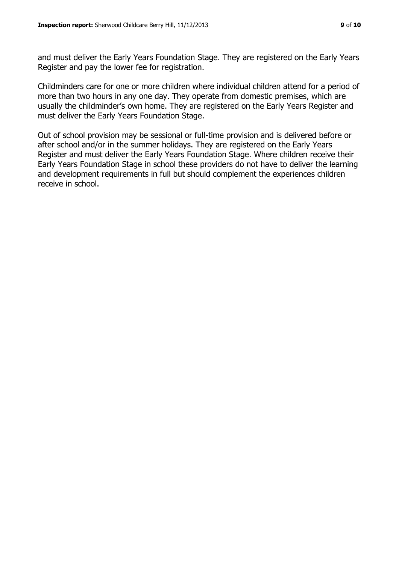and must deliver the Early Years Foundation Stage. They are registered on the Early Years Register and pay the lower fee for registration.

Childminders care for one or more children where individual children attend for a period of more than two hours in any one day. They operate from domestic premises, which are usually the childminder's own home. They are registered on the Early Years Register and must deliver the Early Years Foundation Stage.

Out of school provision may be sessional or full-time provision and is delivered before or after school and/or in the summer holidays. They are registered on the Early Years Register and must deliver the Early Years Foundation Stage. Where children receive their Early Years Foundation Stage in school these providers do not have to deliver the learning and development requirements in full but should complement the experiences children receive in school.